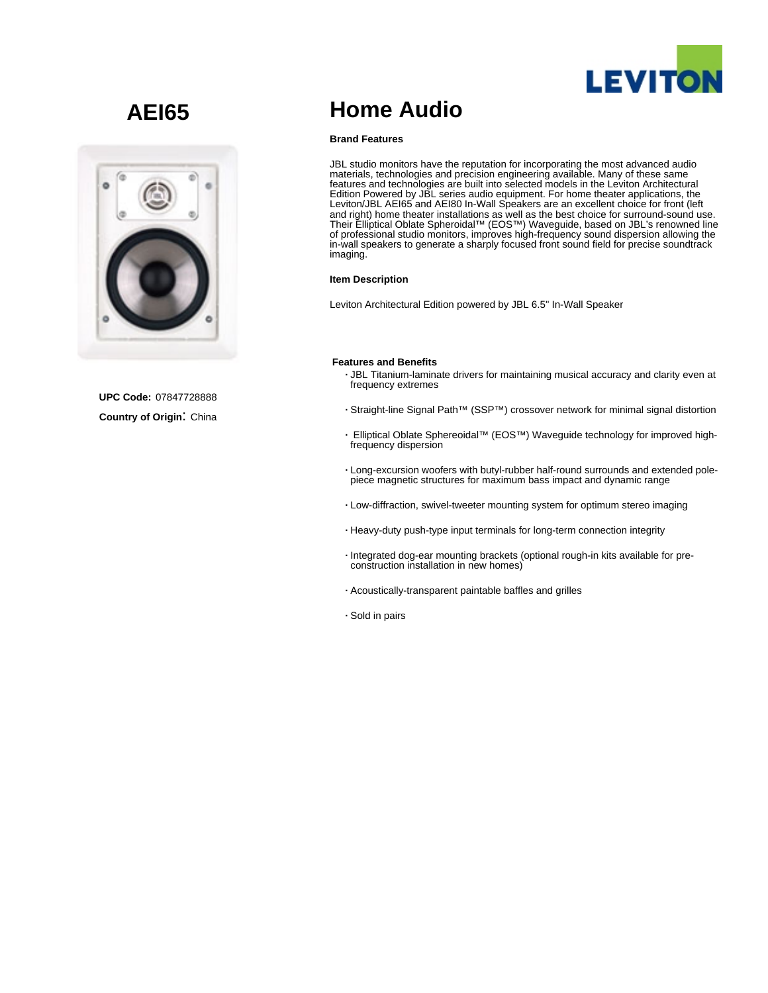

# **AEI65**



**UPC Code:** 07847728888 **Country of Origin**: China

## **Home Audio**

#### **Brand Features**

JBL studio monitors have the reputation for incorporating the most advanced audio materials, technologies and precision engineering available. Many of these same features and technologies are built into selected models in the Leviton Architectural Edition Powered by JBL series audio equipment. For home theater applications, the Leviton/JBL AEI65 and AEI80 In-Wall Speakers are an excellent choice for front (left and right) home theater installations as well as the best choice for surround-sound use. Their Elliptical Oblate Spheroidal™ (EOS™) Waveguide, based on JBL's renowned line of professional studio monitors, improves high-frequency sound dispersion allowing the in-wall speakers to generate a sharply focused front sound field for precise soundtrack imaging.

#### **Item Description**

Leviton Architectural Edition powered by JBL 6.5" In-Wall Speaker

#### **Features and Benefits**

- **·** JBL Titanium-laminate drivers for maintaining musical accuracy and clarity even at frequency extremes
- **·** Straight-line Signal Path™ (SSP™) crossover network for minimal signal distortion
- **·** Elliptical Oblate Sphereoidal™ (EOS™) Waveguide technology for improved highfrequency dispersion
- **·** Long-excursion woofers with butyl-rubber half-round surrounds and extended polepiece magnetic structures for maximum bass impact and dynamic range
- **·** Low-diffraction, swivel-tweeter mounting system for optimum stereo imaging
- **·** Heavy-duty push-type input terminals for long-term connection integrity
- **·** Integrated dog-ear mounting brackets (optional rough-in kits available for preconstruction installation in new homes)
- **·** Acoustically-transparent paintable baffles and grilles
- **·** Sold in pairs